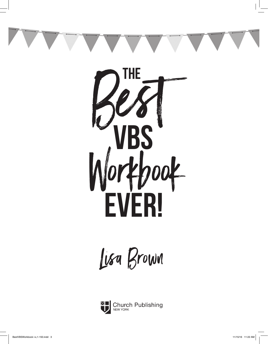



Lisa Brown

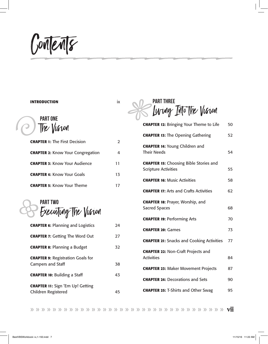Contents }}}}}}}}}}}}}}

#### **Introduction** ix

Part One The Vision E

| <b>CHAPTER 1: The First Decision</b>     |    |
|------------------------------------------|----|
| <b>CHAPTER 2: Know Your Congregation</b> |    |
| <b>CHAPTER 3: Know Your Audience</b>     | 11 |
| <b>CHAPTER 4: Know Your Goals</b>        | 13 |
| <b>CHAPTER 5: Know Your Theme</b>        |    |

Part Two Executing the Vision  $\bigoplus$ 

| <b>CHAPTER 6: Planning and Logistics</b>                             | 24 |
|----------------------------------------------------------------------|----|
| <b>CHAPTER 7: Getting The Word Out</b>                               | 27 |
| <b>CHAPTER 8: Planning a Budget</b>                                  | 32 |
| <b>CHAPTER 9: Registration Goals for</b><br><b>Campers and Staff</b> | 38 |
| <b>CHAPTER 10: Building a Staff</b>                                  | 43 |
| <b>CHAPTER 11:</b> Sign 'Em Up! Getting<br>Children Registered       | 45 |

**PART THRE** Luring Into the Vision  $%$ 

| <b>CHAPTER 12: Bringing Your Theme to Life</b>                               | 50 |
|------------------------------------------------------------------------------|----|
| <b>CHAPTER 13: The Opening Gathering</b>                                     | 52 |
| <b>CHAPTER 14: Young Children and</b><br><b>Their Needs</b>                  | 54 |
| <b>CHAPTER 15: Choosing Bible Stories and</b><br><b>Scripture Activities</b> | 55 |
| <b>CHAPTER 16: Music Activities</b>                                          | 58 |
| <b>CHAPTER 17: Arts and Crafts Activities</b>                                | 62 |
| <b>CHAPTER 18: Prayer, Worship, and</b><br><b>Sacred Spaces</b>              | 68 |
| <b>CHAPTER 19: Performing Arts</b>                                           | 70 |
| <b>CHAPTER 20: Games</b>                                                     | 73 |
| <b>CHAPTER 21: Snacks and Cooking Activities</b>                             | 77 |
| <b>CHAPTER 22: Non-Craft Projects and</b><br><b>Activities</b>               | 84 |
| <b>CHAPTER 23: Maker Movement Projects</b>                                   | 87 |
| <b>CHAPTER 24: Decorations and Sets</b>                                      | 90 |
| <b>CHAPTER 25: T-Shirts and Other Swag</b>                                   | 95 |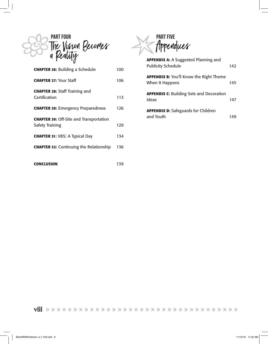

| <b>CHAPTER 26: Building a Schedule</b>                                   | 100 |
|--------------------------------------------------------------------------|-----|
| <b>CHAPTER 27: Your Staff</b>                                            | 106 |
| <b>CHAPTER 28: Staff Training and</b><br>Certification                   | 113 |
| <b>CHAPTER 29: Emergency Preparedness</b>                                | 126 |
| <b>CHAPTER 30: Off-Site and Transportation</b><br><b>Safety Training</b> | 129 |
| <b>CHAPTER 31: VBS: A Typical Day</b>                                    | 134 |
| <b>CHAPTER 32: Continuing the Relationship</b>                           | 136 |
| <b>CONCLUSION</b>                                                        | 139 |



| <b>APPENDIX A: A Suggested Planning and</b><br><b>Publicity Schedule</b> | 142 |
|--------------------------------------------------------------------------|-----|
| <b>APPENDIX B:</b> You'll Know the Right Theme<br>When It Happens        | 145 |
| <b>APPENDIX C: Building Sets and Decoration</b><br>Ideas                 | 147 |
| <b>APPENDIX D:</b> Safeguards for Children<br>and Youth                  | 149 |

viii » » » » » » » » » » » » » » » » » » » » » » » » » » » » » » » » » » »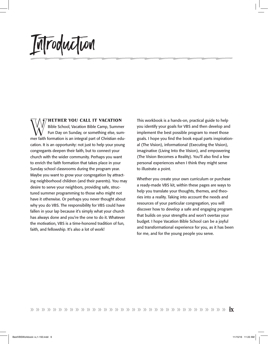Introduction }}}}}}}}}}}}}}

WEITHER YOU CALL IT VACATION<br>Bible School, Vacation Bible Camp, Summer<br>Fun Day on Sunday, or something else, summer faith formation is an integral part of Christian edu Bible School, Vacation Bible Camp, Summer Fun Day on Sunday, or something else, summer faith formation is an integral part of Christian education. It is an opportunity: not just to help your young congregants deepen their faith, but to connect your church with the wider community. Perhaps you want to enrich the faith formation that takes place in your Sunday school classrooms during the program year. Maybe you want to grow your congregation by attracting neighborhood children (and their parents). You may desire to serve your neighbors, providing safe, structured summer programming to those who might not have it otherwise. Or perhaps you never thought about why you do VBS. The responsibility for VBS could have fallen in your lap because it's simply what your church has always done and you're the one to do it. Whatever the motivation, VBS is a time-honored tradition of fun, faith, and fellowship. It's also a lot of work!

This workbook is a hands-on, practical guide to help you identify your goals for VBS and then develop and implement the best possible program to meet those goals. I hope you find the book equal parts inspirational (The Vision), informational (Executing the Vision), imaginative (Living Into the Vision), and empowering (The Vision Becomes a Reality). You'll also find a few personal experiences when I think they might serve to illustrate a point.

Whether you create your own curriculum or purchase a ready-made VBS kit, within these pages are ways to help you translate your thoughts, themes, and theories into a reality. Taking into account the needs and resources of your particular congregation, you will discover how to develop a safe and engaging program that builds on your strengths and won't overtax your budget. I hope Vacation Bible School can be a joyful and transformational experience for you, as it has been for me, and for the young people you serve.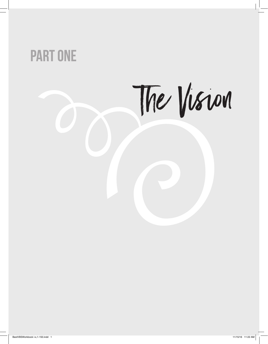# Part One

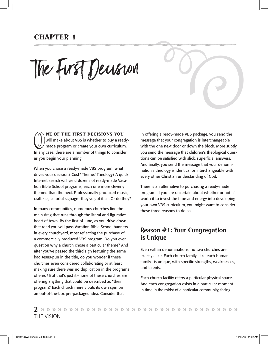## Chapter 1 }}}}}}}}}}}}}}

The First Decision

**ONE OF THE FIRST DECISIONS YOU**<br>will make about VBS is whether to buy a read<br>made program or create your own curriculum<br>ln any case, there are a number of things to conside will make about VBS is whether to buy a readymade program or create your own curriculum. In any case, there are a number of things to consider as you begin your planning.

When you chose a ready-made VBS program, what drives your decision? Cost? Theme? Theology? A quick Internet search will yield dozens of ready-made Vacation Bible School programs, each one more cleverly themed than the next. Professionally produced music, craft kits, colorful signage—they've got it all. Or do they?

In many communities, numerous churches line the main drag that runs through the literal and figurative heart of town. By the first of June, as you drive down that road you will pass Vacation Bible School banners in every churchyard, most reflecting the purchase of a commercially produced VBS program. Do you ever question why a church chose a particular theme? And after you've passed the third sign featuring the same bad Jesus-pun in the title, do you wonder if these churches even considered collaborating or at least making sure there was no duplication in the programs offered? But that's just it—none of these churches are offering anything that could be described as "their program." Each church merely puts its own spin on an out-of-the-box pre-packaged idea. Consider that

in offering a ready-made VBS package, you send the message that your congregation is interchangeable with the one next door or down the block. More subtly, you send the message that children's theological questions can be satisfied with slick, superficial answers. And finally, you send the message that your denomination's theology is identical or interchangeable with every other Christian understanding of God.

IE

There is an alternative to purchasing a ready-made program. If you are uncertain about whether or not it's worth it to invest the time and energy into developing your own VBS curriculum, you might want to consider these three reasons to do so.

#### Reason #1: Your Congregation is Unique

Even within denominations, no two churches are exactly alike. Each church family—like each human family—is unique, with specific strengths, weaknesses, and talents.

Each church facility offers a particular physical space. And each congregation exists in a particular moment in time in the midst of a particular community, facing

2 » » » » » » » » » » » » » » » » » » » » » » » » » » » » » » » » » » » The Vision